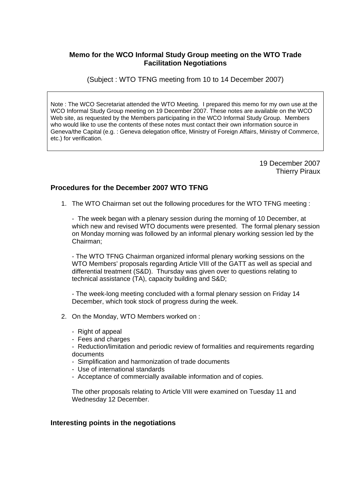# **Memo for the WCO Informal Study Group meeting on the WTO Trade Facilitation Negotiations**

(Subject : WTO TFNG meeting from 10 to 14 December 2007)

Note : The WCO Secretariat attended the WTO Meeting. I prepared this memo for my own use at the WCO Informal Study Group meeting on 19 December 2007. These notes are available on the WCO Web site, as requested by the Members participating in the WCO Informal Study Group. Members who would like to use the contents of these notes must contact their own information source in Geneva/the Capital (e.g. : Geneva delegation office, Ministry of Foreign Affairs, Ministry of Commerce, etc.) for verification.

> 19 December 2007 Thierry Piraux

### **Procedures for the December 2007 WTO TFNG**

1. The WTO Chairman set out the following procedures for the WTO TFNG meeting :

- The week began with a plenary session during the morning of 10 December, at which new and revised WTO documents were presented. The formal plenary session on Monday morning was followed by an informal plenary working session led by the Chairman;

- The WTO TFNG Chairman organized informal plenary working sessions on the WTO Members' proposals regarding Article VIII of the GATT as well as special and differential treatment (S&D). Thursday was given over to questions relating to technical assistance (TA), capacity building and S&D;

- The week-long meeting concluded with a formal plenary session on Friday 14 December, which took stock of progress during the week.

- 2. On the Monday, WTO Members worked on :
	- Right of appeal
	- Fees and charges
	- Reduction/limitation and periodic review of formalities and requirements regarding documents
	- Simplification and harmonization of trade documents
	- Use of international standards
	- Acceptance of commercially available information and of copies.

The other proposals relating to Article VIII were examined on Tuesday 11 and Wednesday 12 December.

### **Interesting points in the negotiations**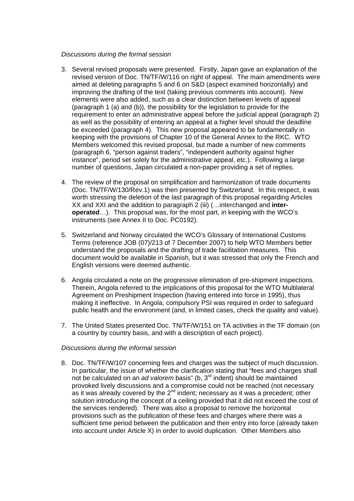### *Discussions during the formal session*

- 3. Several revised proposals were presented. Firstly, Japan gave an explanation of the revised version of Doc. TN/TF/W/116 on right of appeal. The main amendments were aimed at deleting paragraphs 5 and 6 on S&D (aspect examined horizontally) and improving the drafting of the text (taking previous comments into account). New elements were also added, such as a clear distinction between levels of appeal (paragraph 1 (a) and (b)), the possibility for the legislation to provide for the requirement to enter an administrative appeal before the judicial appeal (paragraph 2) as well as the possibility of entering an appeal at a higher level should the deadline be exceeded (paragraph 4). This new proposal appeared to be fundamentally in keeping with the provisions of Chapter 10 of the General Annex to the RKC. WTO Members welcomed this revised proposal, but made a number of new comments (paragraph 6, "person against traders", "independent authority against higher instance", period set solely for the administrative appeal, etc.). Following a large number of questions, Japan circulated a non-paper providing a set of replies.
- 4. The review of the proposal on simplification and harmonization of trade documents (Doc. TN/TF/W/130/Rev.1) was then presented by Switzerland. In this respect, it was worth stressing the deletion of the last paragraph of this proposal regarding Articles XX and XXI and the addition to paragraph 2 (iii) (…interchanged and **interoperated**…). This proposal was, for the most part, in keeping with the WCO's instruments (see Annex II to Doc. PC0192).
- 5. Switzerland and Norway circulated the WCO's Glossary of International Customs Terms (reference JOB (07)/213 of 7 December 2007) to help WTO Members better understand the proposals and the drafting of trade facilitation measures. This document would be available in Spanish, but it was stressed that only the French and English versions were deemed authentic.
- 6. Angola circulated a note on the progressive elimination of pre-shipment inspections. Therein, Angola referred to the implications of this proposal for the WTO Multilateral Agreement on Preshipment Inspection (having entered into force in 1995), thus making it ineffective. In Angola, compulsory PSI was required in order to safeguard public health and the environment (and, in limited cases, check the quality and value).
- 7. The United States presented Doc. TN/TF/W/151 on TA activities in the TF domain (on a country by country basis, and with a description of each project).

#### *Discussions during the informal session*

8. Doc. TN/TF/W/107 concerning fees and charges was the subject of much discussion. In particular, the issue of whether the clarification stating that "fees and charges shall not be calculated on an *ad valorem* basis" (b, 3rd indent) should be maintained provoked lively discussions and a compromise could not be reached (not necessary as it was already covered by the  $2<sup>nd</sup>$  indent; necessary as it was a precedent; other solution introducing the concept of a ceiling provided that it did not exceed the cost of the services rendered). There was also a proposal to remove the horizontal provisions such as the publication of these fees and charges where there was a sufficient time period between the publication and their entry into force (already taken into account under Article X) in order to avoid duplication. Other Members also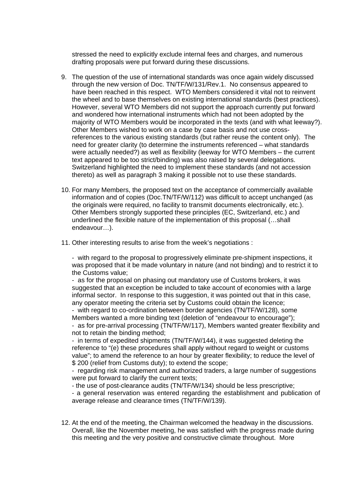stressed the need to explicitly exclude internal fees and charges, and numerous drafting proposals were put forward during these discussions.

- 9. The question of the use of international standards was once again widely discussed through the new version of Doc. TN/TF/W/131/Rev.1. No consensus appeared to have been reached in this respect. WTO Members considered it vital not to reinvent the wheel and to base themselves on existing international standards (best practices). However, several WTO Members did not support the approach currently put forward and wondered how international instruments which had not been adopted by the majority of WTO Members would be incorporated in the texts (and with what leeway?). Other Members wished to work on a case by case basis and not use crossreferences to the various existing standards (but rather reuse the content only). The need for greater clarity (to determine the instruments referenced – what standards were actually needed?) as well as flexibility (leeway for WTO Members – the current text appeared to be too strict/binding) was also raised by several delegations. Switzerland highlighted the need to implement these standards (and not accession thereto) as well as paragraph 3 making it possible not to use these standards.
- 10. For many Members, the proposed text on the acceptance of commercially available information and of copies (Doc.TN/TF/W/112) was difficult to accept unchanged (as the originals were required, no facility to transmit documents electronically, etc.). Other Members strongly supported these principles (EC, Switzerland, etc.) and underlined the flexible nature of the implementation of this proposal (…shall endeavour…).
- 11. Other interesting results to arise from the week's negotiations :

- with regard to the proposal to progressively eliminate pre-shipment inspections, it was proposed that it be made voluntary in nature (and not binding) and to restrict it to the Customs value;

- as for the proposal on phasing out mandatory use of Customs brokers, it was suggested that an exception be included to take account of economies with a large informal sector. In response to this suggestion, it was pointed out that in this case, any operator meeting the criteria set by Customs could obtain the licence;

- with regard to co-ordination between border agencies (TN/TF/W/128), some Members wanted a more binding text (deletion of "endeavour to encourage"); - as for pre-arrival processing (TN/TF/W/117), Members wanted greater flexibility and not to retain the binding method;

- in terms of expedited shipments (TN/TF/W/144), it was suggested deleting the reference to "(e) these procedures shall apply without regard to weight or customs value"; to amend the reference to an hour by greater flexibility; to reduce the level of \$ 200 (relief from Customs duty); to extend the scope;

- regarding risk management and authorized traders, a large number of suggestions were put forward to clarify the current texts;

- the use of post-clearance audits (TN/TF/W/134) should be less prescriptive;

- a general reservation was entered regarding the establishment and publication of average release and clearance times (TN/TF/W/139).

12. At the end of the meeting, the Chairman welcomed the headway in the discussions. Overall, like the November meeting, he was satisfied with the progress made during this meeting and the very positive and constructive climate throughout. More